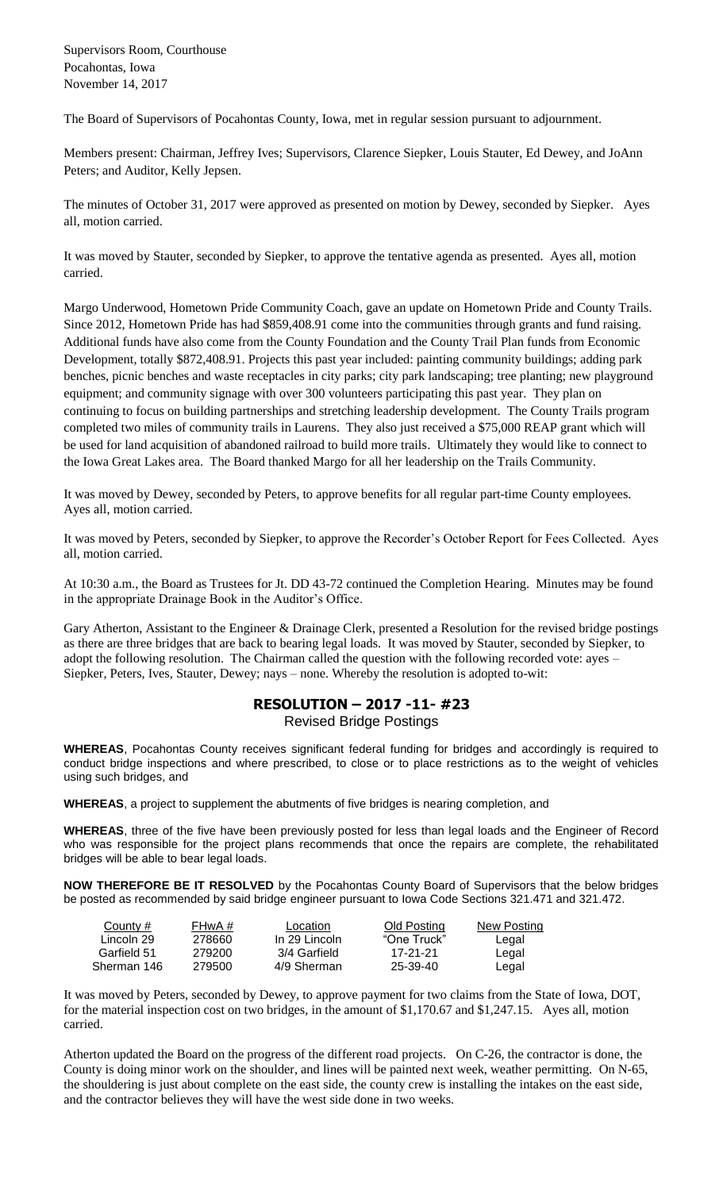Supervisors Room, Courthouse Pocahontas, Iowa November 14, 2017

The Board of Supervisors of Pocahontas County, Iowa, met in regular session pursuant to adjournment.

Members present: Chairman, Jeffrey Ives; Supervisors, Clarence Siepker, Louis Stauter, Ed Dewey, and JoAnn Peters; and Auditor, Kelly Jepsen.

The minutes of October 31, 2017 were approved as presented on motion by Dewey, seconded by Siepker. Ayes all, motion carried.

It was moved by Stauter, seconded by Siepker, to approve the tentative agenda as presented. Ayes all, motion carried.

Margo Underwood, Hometown Pride Community Coach, gave an update on Hometown Pride and County Trails. Since 2012, Hometown Pride has had \$859,408.91 come into the communities through grants and fund raising. Additional funds have also come from the County Foundation and the County Trail Plan funds from Economic Development, totally \$872,408.91. Projects this past year included: painting community buildings; adding park benches, picnic benches and waste receptacles in city parks; city park landscaping; tree planting; new playground equipment; and community signage with over 300 volunteers participating this past year. They plan on continuing to focus on building partnerships and stretching leadership development. The County Trails program completed two miles of community trails in Laurens. They also just received a \$75,000 REAP grant which will be used for land acquisition of abandoned railroad to build more trails. Ultimately they would like to connect to the Iowa Great Lakes area. The Board thanked Margo for all her leadership on the Trails Community.

It was moved by Dewey, seconded by Peters, to approve benefits for all regular part-time County employees. Ayes all, motion carried.

It was moved by Peters, seconded by Siepker, to approve the Recorder's October Report for Fees Collected. Ayes all, motion carried.

At 10:30 a.m., the Board as Trustees for Jt. DD 43-72 continued the Completion Hearing. Minutes may be found in the appropriate Drainage Book in the Auditor's Office.

Gary Atherton, Assistant to the Engineer & Drainage Clerk, presented a Resolution for the revised bridge postings as there are three bridges that are back to bearing legal loads. It was moved by Stauter, seconded by Siepker, to adopt the following resolution. The Chairman called the question with the following recorded vote: ayes – Siepker, Peters, Ives, Stauter, Dewey; nays – none. Whereby the resolution is adopted to-wit:

## **RESOLUTION – 2017 -11- #23** Revised Bridge Postings

**WHEREAS**, Pocahontas County receives significant federal funding for bridges and accordingly is required to conduct bridge inspections and where prescribed, to close or to place restrictions as to the weight of vehicles using such bridges, and

**WHEREAS**, a project to supplement the abutments of five bridges is nearing completion, and

**WHEREAS**, three of the five have been previously posted for less than legal loads and the Engineer of Record who was responsible for the project plans recommends that once the repairs are complete, the rehabilitated bridges will be able to bear legal loads.

**NOW THEREFORE BE IT RESOLVED** by the Pocahontas County Board of Supervisors that the below bridges be posted as recommended by said bridge engineer pursuant to Iowa Code Sections 321.471 and 321.472.

| County #    | FHwA # | Location      | Old Posting | New Posting |
|-------------|--------|---------------|-------------|-------------|
| Lincoln 29  | 278660 | In 29 Lincoln | "One Truck" | Legal       |
| Garfield 51 | 279200 | 3/4 Garfield  | 17-21-21    | Legal       |
| Sherman 146 | 279500 | 4/9 Sherman   | 25-39-40    | Legal       |

It was moved by Peters, seconded by Dewey, to approve payment for two claims from the State of Iowa, DOT, for the material inspection cost on two bridges, in the amount of \$1,170.67 and \$1,247.15. Ayes all, motion carried.

Atherton updated the Board on the progress of the different road projects. On C-26, the contractor is done, the County is doing minor work on the shoulder, and lines will be painted next week, weather permitting. On N-65, the shouldering is just about complete on the east side, the county crew is installing the intakes on the east side, and the contractor believes they will have the west side done in two weeks.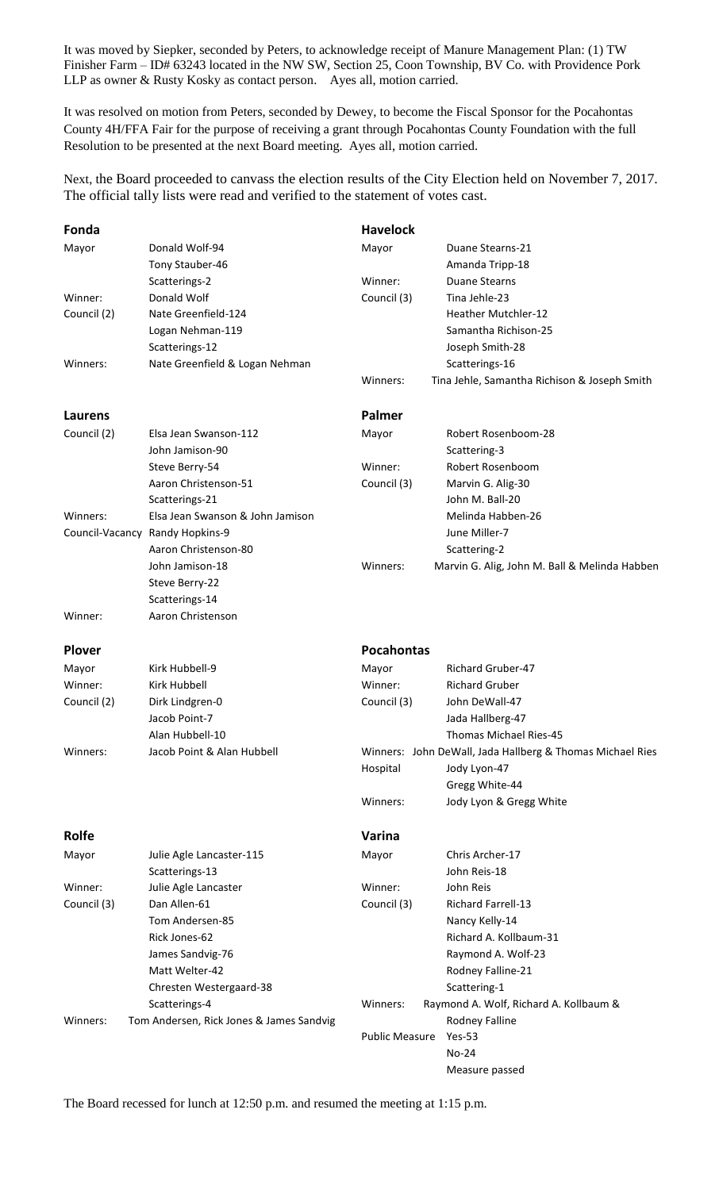It was moved by Siepker, seconded by Peters, to acknowledge receipt of Manure Management Plan: (1) TW Finisher Farm – ID# 63243 located in the NW SW, Section 25, Coon Township, BV Co. with Providence Pork LLP as owner & Rusty Kosky as contact person. Ayes all, motion carried.

It was resolved on motion from Peters, seconded by Dewey, to become the Fiscal Sponsor for the Pocahontas County 4H/FFA Fair for the purpose of receiving a grant through Pocahontas County Foundation with the full Resolution to be presented at the next Board meeting. Ayes all, motion carried.

Next, the Board proceeded to canvass the election results of the City Election held on November 7, 2017. The official tally lists were read and verified to the statement of votes cast.

| Fonda         |                                          | <b>Havelock</b>       |                                                           |  |
|---------------|------------------------------------------|-----------------------|-----------------------------------------------------------|--|
| Mayor         | Donald Wolf-94                           | Mayor                 | Duane Stearns-21                                          |  |
|               | Tony Stauber-46                          |                       | Amanda Tripp-18                                           |  |
|               | Scatterings-2                            | Winner:               | <b>Duane Stearns</b>                                      |  |
| Winner:       | Donald Wolf                              | Council (3)           | Tina Jehle-23                                             |  |
| Council (2)   | Nate Greenfield-124                      |                       | Heather Mutchler-12                                       |  |
|               | Logan Nehman-119                         |                       | Samantha Richison-25                                      |  |
|               | Scatterings-12                           |                       | Joseph Smith-28                                           |  |
| Winners:      | Nate Greenfield & Logan Nehman           |                       | Scatterings-16                                            |  |
|               |                                          | Winners:              | Tina Jehle, Samantha Richison & Joseph Smith              |  |
| Laurens       |                                          | Palmer                |                                                           |  |
| Council (2)   | Elsa Jean Swanson-112                    | Mayor                 | Robert Rosenboom-28                                       |  |
|               | John Jamison-90                          |                       | Scattering-3                                              |  |
|               | Steve Berry-54                           | Winner:               | Robert Rosenboom                                          |  |
|               | Aaron Christenson-51                     | Council (3)           | Marvin G. Alig-30                                         |  |
|               | Scatterings-21                           |                       | John M. Ball-20                                           |  |
| Winners:      | Elsa Jean Swanson & John Jamison         |                       | Melinda Habben-26                                         |  |
|               | Council-Vacancy Randy Hopkins-9          |                       | June Miller-7                                             |  |
|               | Aaron Christenson-80                     |                       | Scattering-2                                              |  |
|               | John Jamison-18                          | Winners:              | Marvin G. Alig, John M. Ball & Melinda Habben             |  |
|               | Steve Berry-22                           |                       |                                                           |  |
|               | Scatterings-14                           |                       |                                                           |  |
| Winner:       | Aaron Christenson                        |                       |                                                           |  |
| <b>Plover</b> |                                          | <b>Pocahontas</b>     |                                                           |  |
| Mayor         | Kirk Hubbell-9                           | Mayor                 | <b>Richard Gruber-47</b>                                  |  |
| Winner:       | <b>Kirk Hubbell</b>                      | Winner:               | <b>Richard Gruber</b>                                     |  |
| Council (2)   | Dirk Lindgren-0                          | Council (3)           | John DeWall-47                                            |  |
|               | Jacob Point-7                            |                       | Jada Hallberg-47                                          |  |
|               | Alan Hubbell-10                          |                       | Thomas Michael Ries-45                                    |  |
| Winners:      | Jacob Point & Alan Hubbell               |                       | Winners: John DeWall, Jada Hallberg & Thomas Michael Ries |  |
|               |                                          | Hospital              | Jody Lyon-47                                              |  |
|               |                                          |                       | Gregg White-44                                            |  |
|               |                                          | Winners:              | Jody Lyon & Gregg White                                   |  |
|               |                                          |                       |                                                           |  |
| Rolfe         |                                          | Varina                |                                                           |  |
| Mayor         | Julie Agle Lancaster-115                 | Mayor                 | Chris Archer-17                                           |  |
|               | Scatterings-13                           |                       | John Reis-18                                              |  |
| Winner:       | Julie Agle Lancaster                     | Winner:               | John Reis                                                 |  |
| Council (3)   | Dan Allen-61                             | Council (3)           | <b>Richard Farrell-13</b>                                 |  |
|               | Tom Andersen-85                          |                       | Nancy Kelly-14                                            |  |
|               | Rick Jones-62                            |                       | Richard A. Kollbaum-31                                    |  |
|               | James Sandvig-76                         |                       | Raymond A. Wolf-23                                        |  |
|               | Matt Welter-42                           |                       | Rodney Falline-21                                         |  |
|               | Chresten Westergaard-38                  |                       | Scattering-1                                              |  |
|               | Scatterings-4                            | Winners:              | Raymond A. Wolf, Richard A. Kollbaum &                    |  |
| Winners:      | Tom Andersen, Rick Jones & James Sandvig |                       | Rodney Falline                                            |  |
|               |                                          | <b>Public Measure</b> | $Yes-53$                                                  |  |
|               |                                          |                       | No-24                                                     |  |
|               |                                          |                       | Measure passed                                            |  |

The Board recessed for lunch at 12:50 p.m. and resumed the meeting at 1:15 p.m.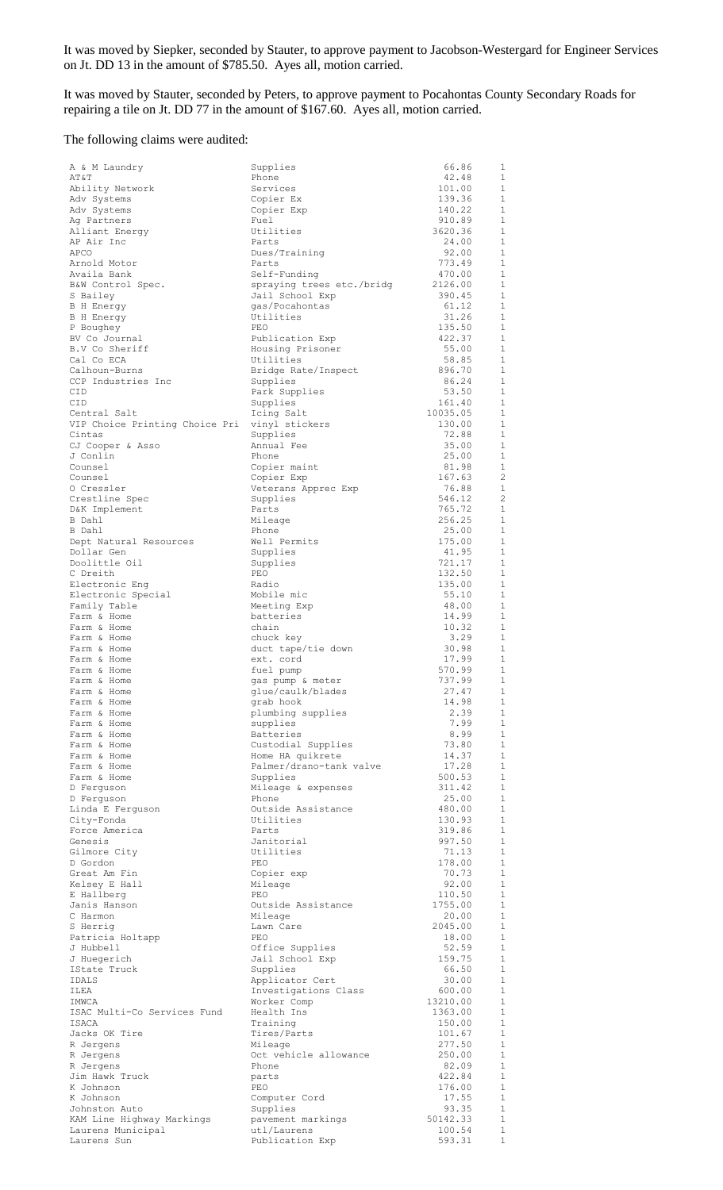It was moved by Siepker, seconded by Stauter, to approve payment to Jacobson-Westergard for Engineer Services on Jt. DD 13 in the amount of \$785.50. Ayes all, motion carried.

It was moved by Stauter, seconded by Peters, to approve payment to Pocahontas County Secondary Roads for repairing a tile on Jt. DD 77 in the amount of \$167.60. Ayes all, motion carried.

## The following claims were audited:

| A & M Laundry                        | Supplies                         | 66.86              | 1                            |
|--------------------------------------|----------------------------------|--------------------|------------------------------|
| AT&T                                 | Phone                            | 42.48              | $\mathbf{1}$                 |
| Ability Network                      | Services                         | 101.00             | $\mathbf{1}$                 |
| Adv Systems                          | Copier Ex                        | 139.36             | 1                            |
| Adv Systems                          | Copier Exp                       | 140.22             | $\mathbf{1}$                 |
| Ag Partners                          | Fuel                             | 910.89             | $\mathbf{1}$                 |
| Alliant Energy                       | Utilities                        | 3620.36            | $\mathbf{1}$                 |
| AP Air Inc                           | Parts                            | 24.00              | $\mathbf{1}$<br>$\mathbf{1}$ |
| APCO                                 | Dues/Training                    | 92.00              | 1                            |
| Arnold Motor<br>Availa Bank          | Parts<br>Self-Funding            | 773.49<br>470.00   | $\mathbf{1}$                 |
| B&W Control Spec.                    | spraying trees etc./bridg        | 2126.00            | 1                            |
| S Bailey                             | Jail School Exp                  | 390.45             | 1                            |
| B H Energy                           | gas/Pocahontas                   | 61.12              | 1                            |
| <b>B</b> H Energy                    | Utilities                        | 31.26              | $\mathbf{1}$                 |
| P Boughey                            | PEO                              | 135.50             | 1                            |
| BV Co Journal                        | Publication Exp                  | 422.37             | 1                            |
| B.V Co Sheriff                       | Housing Prisoner                 | 55.00              | 1                            |
| Cal Co ECA                           | Utilities                        | 58.85              | 1                            |
| Calhoun-Burns                        | Bridge Rate/Inspect              | 896.70             | 1                            |
| CCP Industries Inc                   | Supplies                         | 86.24              | 1                            |
| CID                                  | Park Supplies                    | 53.50              | 1<br>$\mathbf{1}$            |
| CID<br>Central Salt                  | Supplies<br>Icing Salt           | 161.40<br>10035.05 | 1                            |
| VIP Choice Printing Choice Pri       | vinyl stickers                   | 130.00             | $\mathbf{1}$                 |
| Cintas                               | Supplies                         | 72.88              | 1                            |
| CJ Cooper & Asso                     | Annual Fee                       | 35.00              | $\mathbf{1}$                 |
| J Conlin                             | Phone                            | 25.00              | 1                            |
| Counsel                              | Copier maint                     | 81.98              | 1                            |
| Counsel                              | Copier Exp                       | 167.63             | $\overline{2}$               |
| O Cressler                           | Veterans Apprec Exp              | 76.88              | 1                            |
| Crestline Spec                       | Supplies                         | 546.12             | $\overline{c}$               |
| D&K Implement                        | Parts                            | 765.72             | 1                            |
| B Dahl                               | Mileage                          | 256.25             | 1                            |
| B Dahl                               | Phone                            | 25.00              | 1                            |
| Dept Natural Resources<br>Dollar Gen | Well Permits<br>Supplies         | 175.00<br>41.95    | 1<br>1                       |
| Doolittle Oil                        | Supplies                         | 721.17             | 1                            |
| C Dreith                             | PEO                              | 132.50             | 1                            |
| Electronic Eng                       | Radio                            | 135.00             | 1                            |
| Electronic Special                   | Mobile mic                       | 55.10              | $\mathbf{1}$                 |
| Family Table                         | Meeting Exp                      | 48.00              | 1                            |
| Farm & Home                          | batteries                        | 14.99              | $\mathbf{1}$                 |
| Farm & Home                          | chain                            | 10.32              | 1                            |
| Farm & Home                          | chuck key                        | 3.29               | 1                            |
| Farm & Home                          | duct tape/tie down               | 30.98              | $\mathbf{1}$                 |
| Farm & Home<br>Farm & Home           | ext. cord                        | 17.99<br>570.99    | 1<br>$\mathbf{1}$            |
| Farm & Home                          | fuel pump<br>gas pump & meter    | 737.99             | 1                            |
| Farm & Home                          | glue/caulk/blades                | 27.47              | $\overline{1}$               |
| Farm & Home                          | grab hook                        | 14.98              | 1                            |
| Farm & Home                          | plumbing supplies                | 2.39               | $\mathbf{1}$                 |
| Farm & Home                          | supplies                         | 7.99               | $\mathbf{1}$                 |
| Farm & Home                          | Batteries                        | 8.99               | $\mathbf{1}$                 |
| Farm & Home                          | Custodial Supplies               | 73.80              | $\mathbf{1}$                 |
| Farm & Home                          | Home HA quikrete                 | 14.37              | $\mathbf{1}$                 |
| Farm & Home                          | Palmer/drano-tank valve          | 17.28              | $\mathbf{1}$                 |
| Farm & Home                          | Supplies                         | 500.53             | $1\,$                        |
| D Ferquson                           | Mileage & expenses               | 311.42             | 1                            |
| D Ferguson                           | Phone<br>Outside Assistance      | 25.00<br>480.00    | $\mathbf{1}$<br>$\mathbf 1$  |
| Linda E Ferguson<br>City-Fonda       | Utilities                        | 130.93             | $\mathbf{1}$                 |
| Force America                        | Parts                            | 319.86             | 1                            |
| Genesis                              | Janitorial                       | 997.50             | $\mathbf{1}$                 |
| Gilmore City                         | Utilities                        | 71.13              | $\mathbf{1}$                 |
| D Gordon                             | PEO                              | 178.00             | $\mathbf{1}$                 |
| Great Am Fin                         | Copier exp                       | 70.73              | 1                            |
| Kelsey E Hall                        | Mileage                          | 92.00              | $\mathbf{1}$                 |
| E Hallberg                           | PEO                              | 110.50             | $\mathbf{1}$                 |
| Janis Hanson                         | Outside Assistance               | 1755.00            | 1                            |
| C Harmon                             | Mileage                          | 20.00<br>2045.00   | $\mathbf{1}$<br>1            |
| S Herrig<br>Patricia Holtapp         | Lawn Care<br>PEO                 | 18.00              | $\mathbf{1}$                 |
| J Hubbell                            | Office Supplies                  | 52.59              | 1                            |
| J Huegerich                          | Jail School Exp                  | 159.75             | $\mathbf{1}$                 |
| IState Truck                         | Supplies                         | 66.50              | 1                            |
| IDALS                                | Applicator Cert                  | 30.00              | $\mathbf{1}$                 |
| ILEA                                 | Investigations Class             | 600.00             | $\mathbf{1}$                 |
| IMWCA                                | Worker Comp                      | 13210.00           | $\mathbf{1}$                 |
| ISAC Multi-Co Services Fund          | Health Ins                       | 1363.00            | $\mathbf{1}$                 |
| ISACA                                | Training                         | 150.00             | $\mathbf{1}$                 |
| Jacks OK Tire                        | Tires/Parts                      | 101.67<br>277.50   | 1<br>1                       |
| R Jergens<br>R Jergens               | Mileage<br>Oct vehicle allowance | 250.00             | 1                            |
| R Jergens                            | Phone                            | 82.09              | 1                            |
| Jim Hawk Truck                       | parts                            | 422.84             | 1                            |
| K Johnson                            | PEO                              | 176.00             | $\mathbf{1}$                 |
| K Johnson                            | Computer Cord                    | 17.55              | 1                            |
| Johnston Auto                        | Supplies                         | 93.35              | $\mathbf{1}$                 |
| KAM Line Highway Markings            | pavement markings                | 50142.33           | $\mathbf{1}$                 |
| Laurens Municipal                    | utl/Laurens                      | 100.54             | $\mathbf{1}$                 |
| Laurens Sun                          | Publication Exp                  | 593.31             | $1\,$                        |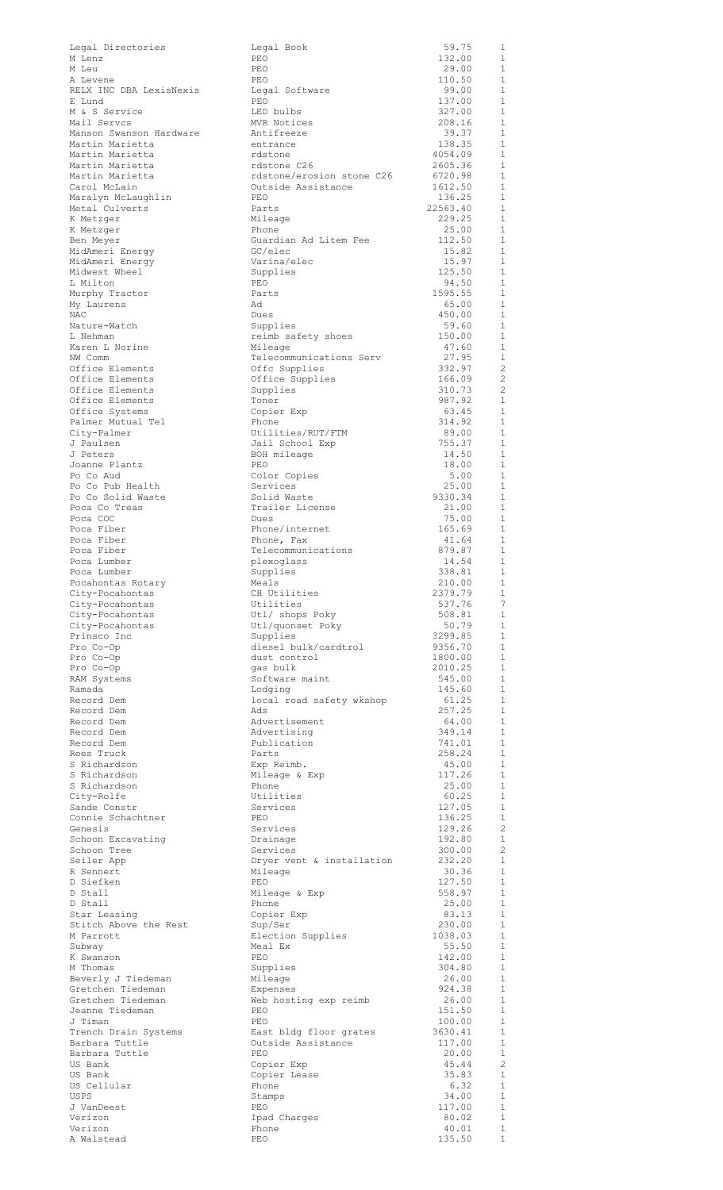| Legal Directories                       | Legal Book                                   | 59.75              | 1                                |
|-----------------------------------------|----------------------------------------------|--------------------|----------------------------------|
| M Lenz<br>M Leu                         | PEO<br>PEO                                   | 132.00<br>29.00    | 1<br>1                           |
| A Levene                                | PEO                                          | 110.50             | $\mathbf{1}$                     |
| RELX INC DBA LexisNexis                 | Legal Software                               | 99.00              | $\mathbf{1}$                     |
| E Lund<br>M & S Service                 | PEO<br>LED bulbs                             | 137.00<br>327.00   | $\mathbf{1}$<br>$\mathbf{1}$     |
| Mail Servcs                             | MVR Notices                                  | 208.16             | $\mathbf{1}$                     |
| Manson Swanson Hardware                 | Antifreeze                                   | 39.37              | 1                                |
| Martin Marietta<br>Martin Marietta      | entrance<br>rdstone                          | 138.35<br>4054.09  | 1<br>1                           |
| Martin Marietta                         | rdstone C26                                  | 2605.36            | 1                                |
| Martin Marietta                         | rdstone/erosion stone C26                    | 6720.98            | 1                                |
| Carol McLain                            | Outside Assistance<br>PEO                    | 1612.50<br>136.25  | 1<br>$\mathbf{1}$                |
| Maralyn McLaughlin<br>Metal Culverts    | Parts                                        | 22563.40           | $\mathbf{1}$                     |
| K Metzger                               | Mileage                                      | 229.25             | $\mathbf{1}$                     |
| K Metzger                               | Phone<br>Guardian Ad Litem Fee               | 25.00<br>112.50    | 1<br>1                           |
| Ben Meyer<br>MidAmeri Energy            | GC/elec                                      | 15.82              | $\mathbf{1}$                     |
| MidAmeri Energy                         | Varina/elec                                  | 15.97              | 1                                |
| Midwest Wheel                           | Supplies                                     | 125.50             | 1<br>$\mathbf{1}$                |
| L Milton<br>Murphy Tractor              | PEO<br>Parts                                 | 94.50<br>1595.55   | 1                                |
| My Laurens                              | Ad                                           | 65.00              | $\mathbf{1}$                     |
| NAC                                     | Dues                                         | 450.00             | 1                                |
| Nature-Watch<br>L Nehman                | Supplies<br>reimb safety shoes               | 59.60<br>150.00    | $\mathbf{1}$<br>1                |
| Karen L Norine                          | Mileage                                      | 47.60              | $\mathbf{1}$                     |
| NW Comm                                 | Telecommunications Serv                      | 27.95              | $\mathbf{1}$                     |
| Office Elements<br>Office Elements      | Offc Supplies<br>Office Supplies             | 332.97<br>166.09   | $\overline{c}$<br>$\overline{c}$ |
| Office Elements                         | Supplies                                     | 310.73             | $\overline{c}$                   |
| Office Elements                         | Toner                                        | 987.92             | 1                                |
| Office Systems<br>Palmer Mutual Tel     | Copier Exp<br>Phone                          | 63.45<br>314.92    | 1<br>1                           |
| City-Palmer                             | Utilities/RUT/FTM                            | 89.00              | $\mathbf{1}$                     |
| J Paulsen                               | Jail School Exp                              | 755.37             | 1                                |
| J Peters                                | BOH mileage                                  | 14.50              | $\mathbf{1}$                     |
| Joanne Plantz<br>Po Co Aud              | PEO<br>Color Copies                          | 18.00<br>5.00      | 1<br>$\mathbf{1}$                |
| Po Co Pub Health                        | Services                                     | 25.00              | 1                                |
| Po Co Solid Waste                       | Solid Waste                                  | 9330.34            | $\mathbf{1}$                     |
| Poca Co Treas<br>Poca COC               | Trailer License<br>Dues                      | 21.00<br>75.00     | 1<br>1                           |
| Poca Fiber                              | Phone/internet                               | 165.69             | 1                                |
| Poca Fiber                              | Phone, Fax                                   | 41.64              | 1                                |
| Poca Fiber<br>Poca Lumber               | Telecommunications<br>plexoglass             | 879.87<br>14.54    | 1<br>1                           |
| Poca Lumber                             | Supplies                                     | 338.81             | $\mathbf{1}$                     |
| Pocahontas Rotary                       | Meals                                        | 210.00             | 1                                |
| City-Pocahontas                         | CH Utilities                                 | 2379.79            | $\mathbf{1}$                     |
| City-Pocahontas<br>City-Pocahontas      | Utilities<br>Utl/ shops Poky                 | 537.76<br>508.81   | 7<br>$\mathbf{1}$                |
| City-Pocahontas                         | Utl/quonset Poky                             | 50.79              | 1                                |
| Prinsco Inc                             | Supplies                                     | 3299.85            | 1                                |
| Pro Co-Op<br>Pro Co-Op                  | diesel bulk/cardtrol<br>dust control         | 9356.70<br>1800.00 | 1<br>1                           |
| Pro Co-Op                               | gas bulk                                     | 2010.25            | 1                                |
| RAM Systems                             | Software maint                               | 545.00             | 1                                |
| Ramada                                  | Lodging                                      | 145.60             | 1                                |
| Record Dem<br>Record Dem                | local road safety wkshop<br>Ads              | 61.25<br>257.25    | 1<br>1                           |
| Record Dem                              | Advertisement                                | 64.00              | -1                               |
| Record Dem                              | Advertising                                  | 349.14             | $\mathbf{1}$                     |
| Record Dem<br>Rees Truck                | Publication<br>Parts                         | 741.01<br>258.24   | <sup>1</sup><br>1                |
| S Richardson                            | Exp Reimb.                                   | 45.00              | 1                                |
| S Richardson                            | Mileage & Exp                                | 117.26             | 1                                |
| S Richardson                            | Phone                                        | 25.00              | $\mathbf{1}$                     |
| City-Rolfe<br>Sande Constr              | Utilities<br>Services                        | 60.25<br>127.05    | 1<br>$\mathbf{1}$                |
| Connie Schachtner                       | PEO                                          | 136.25             | 1                                |
| Genesis                                 | Services                                     | 129.26             | $\overline{2}$                   |
| Schoon Excavating<br>Schoon Tree        | Drainage<br>Services                         | 192.80<br>300.00   | 1<br>$\overline{2}$              |
| Seiler App                              | Dryer vent & installation                    | 232.20             | 1                                |
| R Sennert                               | Mileage                                      | 30.36              | $\mathbf{1}$                     |
| D Siefken                               | PEO                                          | 127.50             | 1<br>1                           |
| D Stall<br>D Stall                      | Mileage & Exp<br>Phone                       | 558.97<br>25.00    | 1                                |
| Star Leasing                            | Copier Exp                                   | 83.13              | 1                                |
| Stitch Above the Rest                   | Sup/Ser                                      | 230.00             | 1                                |
| M Parrott<br>Subway                     | Election Supplies<br>Meal Ex                 | 1038.03<br>55.50   | 1<br>1                           |
| K Swanson                               | PEO                                          | 142.00             | 1                                |
| M Thomas                                | Supplies                                     | 304.80             | 1                                |
| Beverly J Tiedeman<br>Gretchen Tiedeman | Mileage<br>Expenses                          | 26.00<br>924.38    | 1<br>1                           |
| Gretchen Tiedeman                       | Web hosting exp reimb                        | 26.00              | 1                                |
| Jeanne Tiedeman                         | PEO                                          | 151.50             | 1                                |
| J Timan                                 | PEO                                          | 100.00             | 1                                |
| Trench Drain Systems<br>Barbara Tuttle  | East bldg floor grates<br>Outside Assistance | 3630.41<br>117.00  | $\mathbf{1}$<br>-1               |
| Barbara Tuttle                          | PEO                                          | 20.00              | $\mathbf{1}$                     |
| US Bank                                 | Copier Exp                                   | 45.44              | $\overline{c}$                   |
| US Bank<br>US Cellular                  | Copier Lease<br>Phone                        | 35.83<br>6.32      | $\mathbf{1}$<br>- 1              |
| USPS                                    | Stamps                                       | 34.00              | $\mathbf{1}$                     |
| J VanDeest                              | PEO                                          | 117.00             | 1                                |
| Verizon                                 | Ipad Charges                                 | 80.02              | $1\,$                            |
| Verizon<br>A Walstead                   | Phone<br>PEO                                 | 40.01<br>135.50    | 1<br>$\mathbf 1$                 |